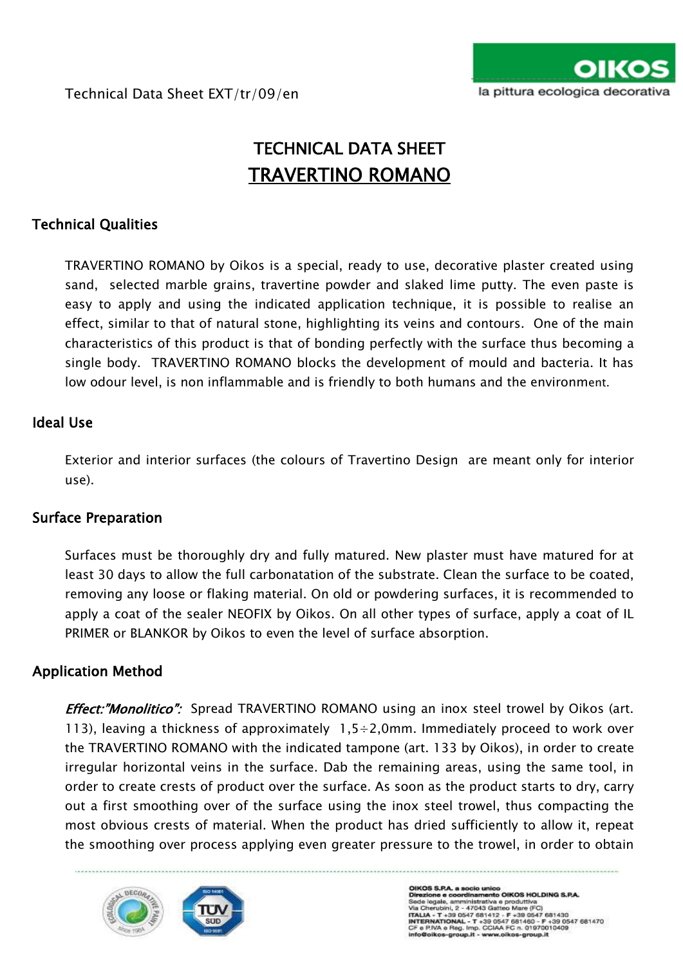

# TECHNICAL DATA SHEET TRAVERTINO ROMANO

# Technical Qualities

TRAVERTINO ROMANO by Oikos is a special, ready to use, decorative plaster created using sand, selected marble grains, travertine powder and slaked lime putty. The even paste is easy to apply and using the indicated application technique, it is possible to realise an effect, similar to that of natural stone, highlighting its veins and contours. One of the main characteristics of this product is that of bonding perfectly with the surface thus becoming a single body. TRAVERTINO ROMANO blocks the development of mould and bacteria. It has low odour level, is non inflammable and is friendly to both humans and the environment.

# Ideal Use

Exterior and interior surfaces (the colours of Travertino Design are meant only for interior use).

## Surface Preparation

Surfaces must be thoroughly dry and fully matured. New plaster must have matured for at least 30 days to allow the full carbonatation of the substrate. Clean the surface to be coated, removing any loose or flaking material. On old or powdering surfaces, it is recommended to apply a coat of the sealer NEOFIX by Oikos. On all other types of surface, apply a coat of IL PRIMER or BLANKOR by Oikos to even the level of surface absorption.

## Application Method

**Effect:"Monolitico":** Spread TRAVERTINO ROMANO using an inox steel trowel by Oikos (art. 113), leaving a thickness of approximately  $1,5 \div 2,0$ mm. Immediately proceed to work over the TRAVERTINO ROMANO with the indicated tampone (art. 133 by Oikos), in order to create irregular horizontal veins in the surface. Dab the remaining areas, using the same tool, in order to create crests of product over the surface. As soon as the product starts to dry, carry out a first smoothing over of the surface using the inox steel trowel, thus compacting the most obvious crests of material. When the product has dried sufficiently to allow it, repeat the smoothing over process applying even greater pressure to the trowel, in order to obtain

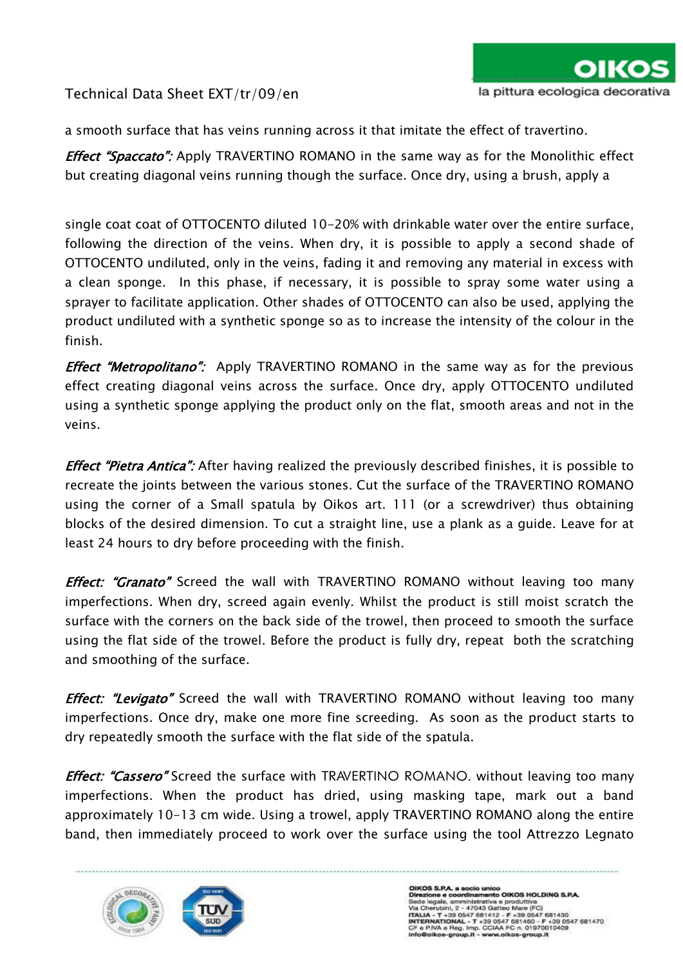a smooth surface that has veins running across it that imitate the effect of travertino.

**Effect "Spaccato":** Apply TRAVERTINO ROMANO in the same way as for the Monolithic effect but creating diagonal veins running though the surface. Once dry, using a brush, apply a

single coat coat of OTTOCENTO diluted 10-20% with drinkable water over the entire surface, following the direction of the veins. When dry, it is possible to apply a second shade of OTTOCENTO undiluted, only in the veins, fading it and removing any material in excess with a clean sponge. In this phase, if necessary, it is possible to spray some water using a sprayer to facilitate application. Other shades of OTTOCENTO can also be used, applying the product undiluted with a synthetic sponge so as to increase the intensity of the colour in the finish.

**Effect "Metropolitano":** Apply TRAVERTINO ROMANO in the same way as for the previous effect creating diagonal veins across the surface. Once dry, apply OTTOCENTO undiluted using a synthetic sponge applying the product only on the flat, smooth areas and not in the veins.

**Effect "Pietra Antica":** After having realized the previously described finishes, it is possible to recreate the joints between the various stones. Cut the surface of the TRAVERTINO ROMANO using the corner of a Small spatula by Oikos art. 111 (or a screwdriver) thus obtaining blocks of the desired dimension. To cut a straight line, use a plank as a guide. Leave for at least 24 hours to dry before proceeding with the finish.

**Effect: "Granato"** Screed the wall with TRAVERTINO ROMANO without leaving too many imperfections. When dry, screed again evenly. Whilst the product is still moist scratch the surface with the corners on the back side of the trowel, then proceed to smooth the surface using the flat side of the trowel. Before the product is fully dry, repeat both the scratching and smoothing of the surface.

**Effect: "Levigato"** Screed the wall with TRAVERTINO ROMANO without leaving too many imperfections. Once dry, make one more fine screeding. As soon as the product starts to dry repeatedly smooth the surface with the flat side of the spatula.

*Effect: "Cassero"* Screed the surface with TRAVERTINO ROMANO. without leaving too many imperfections. When the product has dried, using masking tape, mark out a band approximately 10-13 cm wide. Using a trowel, apply TRAVERTINO ROMANO along the entire band, then immediately proceed to work over the surface using the tool Attrezzo Legnato

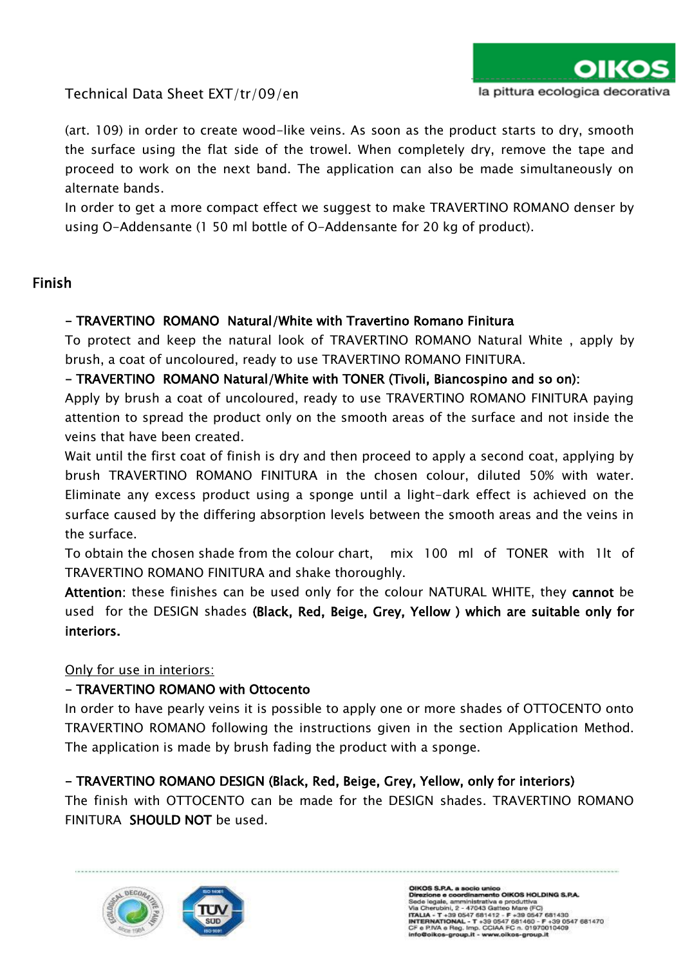(art. 109) in order to create wood-like veins. As soon as the product starts to dry, smooth the surface using the flat side of the trowel. When completely dry, remove the tape and proceed to work on the next band. The application can also be made simultaneously on alternate bands.

In order to get a more compact effect we suggest to make TRAVERTINO ROMANO denser by using O-Addensante (1 50 ml bottle of O-Addensante for 20 kg of product).

## Finish

### - TRAVERTINO ROMANO Natural/White with Travertino Romano Finitura

To protect and keep the natural look of TRAVERTINO ROMANO Natural White , apply by brush, a coat of uncoloured, ready to use TRAVERTINO ROMANO FINITURA.

#### - TRAVERTINO ROMANO Natural/White with TONER (Tivoli, Biancospino and so on):

Apply by brush a coat of uncoloured, ready to use TRAVERTINO ROMANO FINITURA paying attention to spread the product only on the smooth areas of the surface and not inside the veins that have been created.

Wait until the first coat of finish is dry and then proceed to apply a second coat, applying by brush TRAVERTINO ROMANO FINITURA in the chosen colour, diluted 50% with water. Eliminate any excess product using a sponge until a light-dark effect is achieved on the surface caused by the differing absorption levels between the smooth areas and the veins in the surface.

To obtain the chosen shade from the colour chart, mix 100 ml of TONER with 1lt of TRAVERTINO ROMANO FINITURA and shake thoroughly.

Attention: these finishes can be used only for the colour NATURAL WHITE, they cannot be used for the DESIGN shades (Black, Red, Beige, Grey, Yellow ) which are suitable only for interiors.

#### Only for use in interiors:

## - TRAVERTINO ROMANO with Ottocento

In order to have pearly veins it is possible to apply one or more shades of OTTOCENTO onto TRAVERTINO ROMANO following the instructions given in the section Application Method. The application is made by brush fading the product with a sponge.

## - TRAVERTINO ROMANO DESIGN (Black, Red, Beige, Grey, Yellow, only for interiors)

The finish with OTTOCENTO can be made for the DESIGN shades. TRAVERTINO ROMANO FINITURA SHOULD NOT be used.

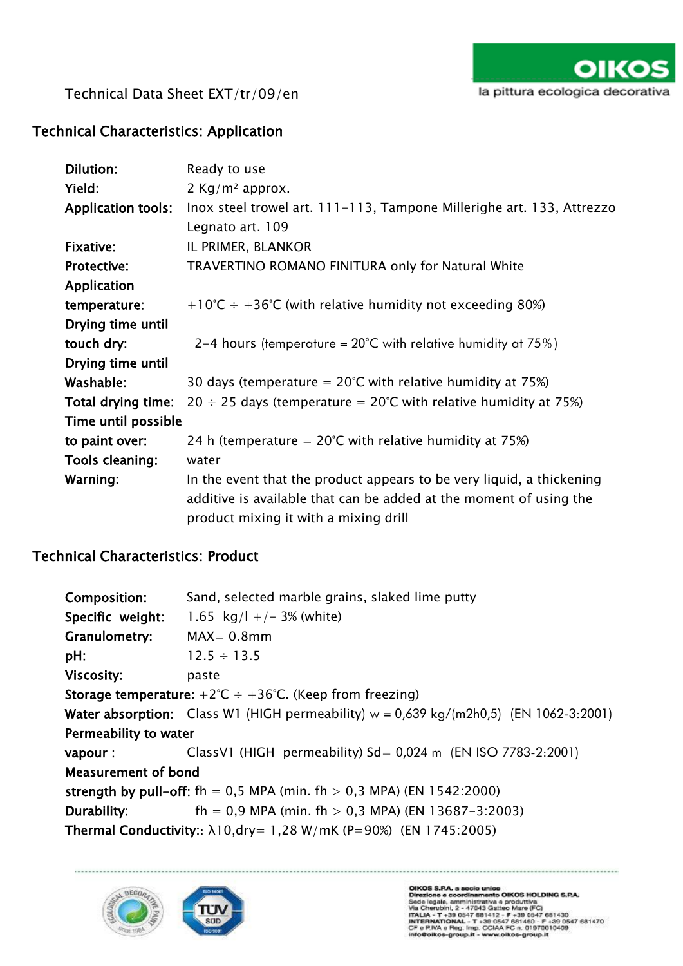

## Technical Characteristics: Application

| Dilution:                 | Ready to use                                                           |
|---------------------------|------------------------------------------------------------------------|
| Yield:                    | 2 Kg/m <sup>2</sup> approx.                                            |
| <b>Application tools:</b> | Inox steel trowel art. 111-113, Tampone Millerighe art. 133, Attrezzo  |
|                           | Legnato art. 109                                                       |
| Fixative:                 | IL PRIMER, BLANKOR                                                     |
| <b>Protective:</b>        | TRAVERTINO ROMANO FINITURA only for Natural White                      |
| Application               |                                                                        |
| temperature:              | +10°C $\div$ +36°C (with relative humidity not exceeding 80%)          |
| Drying time until         |                                                                        |
| touch dry:                | 2–4 hours (temperature = $20^{\circ}$ C with relative humidity at 75%) |
| Drying time until         |                                                                        |
| Washable:                 | 30 days (temperature $= 20^{\circ}$ C with relative humidity at 75%)   |
| Total drying time:        | $20 \div 25$ days (temperature = 20°C with relative humidity at 75%)   |
| Time until possible       |                                                                        |
| to paint over:            | 24 h (temperature $= 20^{\circ}$ C with relative humidity at 75%)      |
| Tools cleaning:           | water                                                                  |
| Warning:                  | In the event that the product appears to be very liquid, a thickening  |
|                           | additive is available that can be added at the moment of using the     |
|                           | product mixing it with a mixing drill                                  |

# Technical Characteristics: Product

| Composition:                                                                                     | Sand, selected marble grains, slaked lime putty                                                |  |
|--------------------------------------------------------------------------------------------------|------------------------------------------------------------------------------------------------|--|
| Specific weight:                                                                                 | 1.65 $kg/l +/- 3%$ (white)                                                                     |  |
| Granulometry:                                                                                    | $MAX = 0.8$ mm                                                                                 |  |
| pH:                                                                                              | $12.5 \div 13.5$                                                                               |  |
| <b>Viscosity:</b>                                                                                | paste                                                                                          |  |
| <b>Storage temperature:</b> $+2^{\circ}\text{C} \div +36^{\circ}\text{C}$ . (Keep from freezing) |                                                                                                |  |
|                                                                                                  | <b>Water absorption:</b> Class W1 (HIGH permeability) $w = 0.639$ kg/(m2h0.5) (EN 1062-3:2001) |  |
| Permeability to water                                                                            |                                                                                                |  |
| vapour :                                                                                         | ClassV1 (HIGH permeability) $Sd = 0.024$ m (EN ISO 7783-2:2001)                                |  |
| <b>Measurement of bond</b>                                                                       |                                                                                                |  |
| strength by pull-off: fh = 0.5 MPA (min. fh > 0.3 MPA) (EN 1542:2000)                            |                                                                                                |  |
| Durability:                                                                                      | fh = 0,9 MPA (min. fh > 0,3 MPA) (EN 13687-3:2003)                                             |  |
| <b>Thermal Conductivity::</b> $\lambda$ 10,dry= 1,28 W/mK (P=90%) (EN 1745:2005)                 |                                                                                                |  |

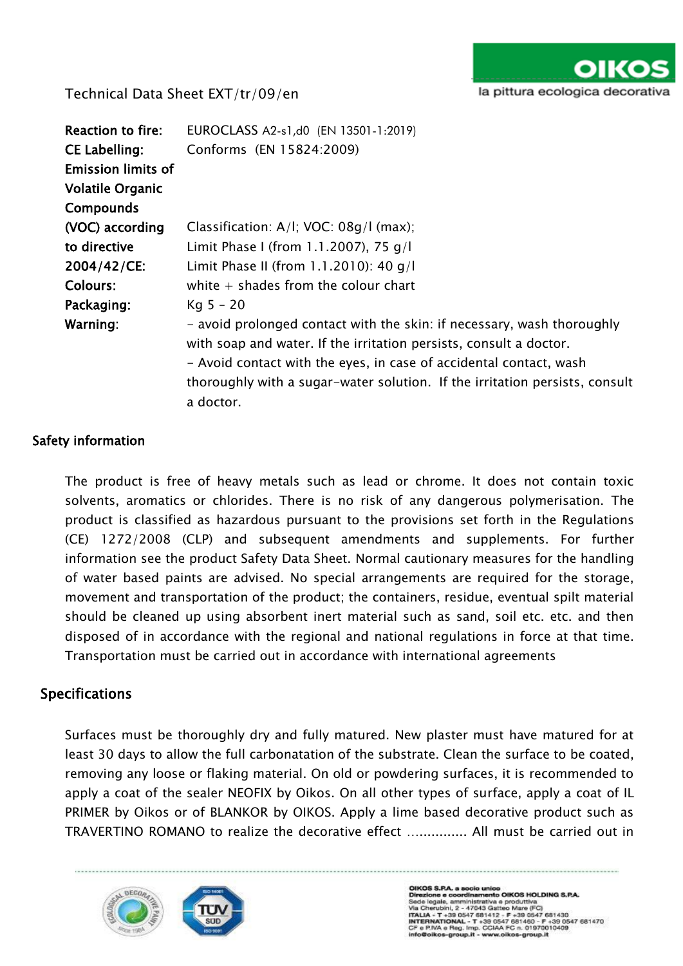

| Reaction to fire:         | EUROCLASS A2-s1,d0 (EN 13501-1:2019)                                                                                                                                                                                                                                                                           |
|---------------------------|----------------------------------------------------------------------------------------------------------------------------------------------------------------------------------------------------------------------------------------------------------------------------------------------------------------|
| <b>CE Labelling:</b>      | Conforms (EN 15824:2009)                                                                                                                                                                                                                                                                                       |
| <b>Emission limits of</b> |                                                                                                                                                                                                                                                                                                                |
| <b>Volatile Organic</b>   |                                                                                                                                                                                                                                                                                                                |
| <b>Compounds</b>          |                                                                                                                                                                                                                                                                                                                |
| (VOC) according           | Classification: A/I; VOC: 08g/I (max);                                                                                                                                                                                                                                                                         |
| to directive              | Limit Phase I (from 1.1.2007), 75 g/l                                                                                                                                                                                                                                                                          |
| 2004/42/CE:               | Limit Phase II (from 1.1.2010): 40 q/l                                                                                                                                                                                                                                                                         |
| <b>Colours:</b>           | white $+$ shades from the colour chart                                                                                                                                                                                                                                                                         |
| Packaging:                | $Kq 5 - 20$                                                                                                                                                                                                                                                                                                    |
| Warning:                  | - avoid prolonged contact with the skin: if necessary, wash thoroughly<br>with soap and water. If the irritation persists, consult a doctor.<br>- Avoid contact with the eyes, in case of accidental contact, wash<br>thoroughly with a sugar-water solution. If the irritation persists, consult<br>a doctor. |

#### Safety information

The product is free of heavy metals such as lead or chrome. It does not contain toxic solvents, aromatics or chlorides. There is no risk of any dangerous polymerisation. The product is classified as hazardous pursuant to the provisions set forth in the Regulations (CE) 1272/2008 (CLP) and subsequent amendments and supplements. For further information see the product Safety Data Sheet. Normal cautionary measures for the handling of water based paints are advised. No special arrangements are required for the storage, movement and transportation of the product; the containers, residue, eventual spilt material should be cleaned up using absorbent inert material such as sand, soil etc. etc. and then disposed of in accordance with the regional and national regulations in force at that time. Transportation must be carried out in accordance with international agreements

## Specifications

Surfaces must be thoroughly dry and fully matured. New plaster must have matured for at least 30 days to allow the full carbonatation of the substrate. Clean the surface to be coated, removing any loose or flaking material. On old or powdering surfaces, it is recommended to apply a coat of the sealer NEOFIX by Oikos. On all other types of surface, apply a coat of IL PRIMER by Oikos or of BLANKOR by OIKOS. Apply a lime based decorative product such as TRAVERTINO ROMANO to realize the decorative effect …............ All must be carried out in